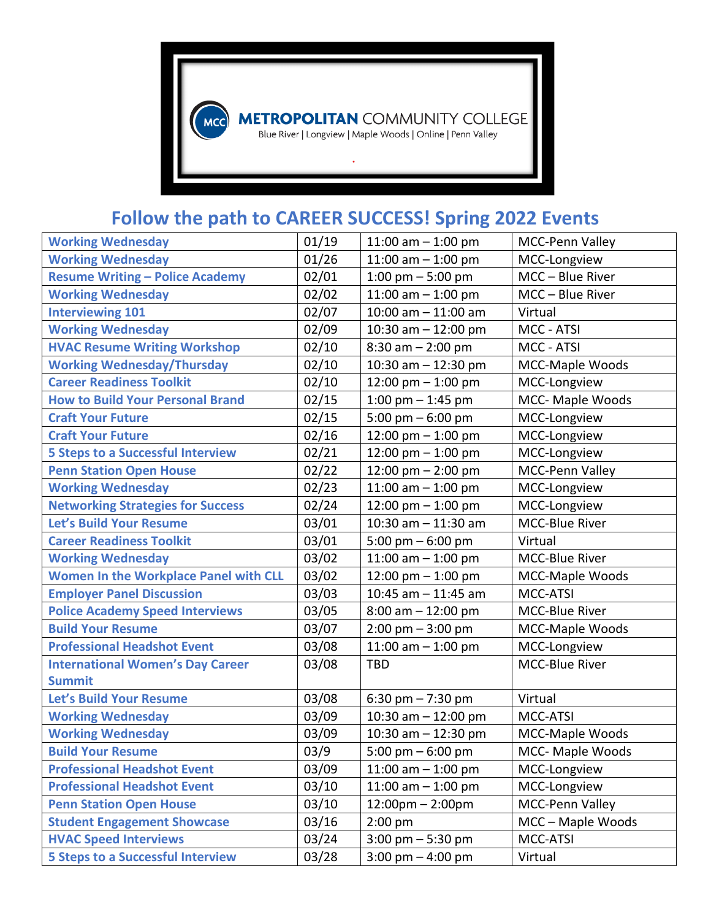

**METROPOLITAN** COMMUNITY COLLEGE<br>Blue River | Longview | Maple Woods | Online | Penn Valley

## **Follow the path to CAREER SUCCESS! Spring 2022 Events**

| <b>Working Wednesday</b>                     | 01/19 | 11:00 am $-$ 1:00 pm                | MCC-Penn Valley        |
|----------------------------------------------|-------|-------------------------------------|------------------------|
| <b>Working Wednesday</b>                     | 01/26 | 11:00 am $-$ 1:00 pm                | MCC-Longview           |
| <b>Resume Writing - Police Academy</b>       | 02/01 | 1:00 pm $-$ 5:00 pm                 | MCC - Blue River       |
| <b>Working Wednesday</b>                     | 02/02 | 11:00 am $-$ 1:00 pm                | MCC - Blue River       |
| <b>Interviewing 101</b>                      | 02/07 | $10:00$ am $- 11:00$ am             | Virtual                |
| <b>Working Wednesday</b>                     | 02/09 | 10:30 am $-$ 12:00 pm               | MCC - ATSI             |
| <b>HVAC Resume Writing Workshop</b>          | 02/10 | $8:30$ am $- 2:00$ pm               | MCC - ATSI             |
| <b>Working Wednesday/Thursday</b>            | 02/10 | 10:30 am $-$ 12:30 pm               | MCC-Maple Woods        |
| <b>Career Readiness Toolkit</b>              | 02/10 | 12:00 pm $-$ 1:00 pm                | MCC-Longview           |
| <b>How to Build Your Personal Brand</b>      | 02/15 | 1:00 pm $-$ 1:45 pm                 | MCC- Maple Woods       |
| <b>Craft Your Future</b>                     | 02/15 | 5:00 pm $-$ 6:00 pm                 | MCC-Longview           |
| <b>Craft Your Future</b>                     | 02/16 | 12:00 pm $-$ 1:00 pm                | MCC-Longview           |
| <b>5 Steps to a Successful Interview</b>     | 02/21 | 12:00 pm $-$ 1:00 pm                | MCC-Longview           |
| <b>Penn Station Open House</b>               | 02/22 | 12:00 pm $-$ 2:00 pm                | MCC-Penn Valley        |
| <b>Working Wednesday</b>                     | 02/23 | 11:00 am $-$ 1:00 pm                | MCC-Longview           |
| <b>Networking Strategies for Success</b>     | 02/24 | 12:00 pm $-$ 1:00 pm                | MCC-Longview           |
| Let's Build Your Resume                      | 03/01 | $10:30$ am $- 11:30$ am             | MCC-Blue River         |
| <b>Career Readiness Toolkit</b>              | 03/01 | 5:00 pm $-$ 6:00 pm                 | Virtual                |
| <b>Working Wednesday</b>                     | 03/02 | 11:00 am $-$ 1:00 pm                | MCC-Blue River         |
| <b>Women In the Workplace Panel with CLL</b> | 03/02 | 12:00 pm $-$ 1:00 pm                | MCC-Maple Woods        |
| <b>Employer Panel Discussion</b>             | 03/03 | 10:45 am $-$ 11:45 am               | MCC-ATSI               |
| <b>Police Academy Speed Interviews</b>       | 03/05 | $8:00$ am $-12:00$ pm               | MCC-Blue River         |
| <b>Build Your Resume</b>                     | 03/07 | $2:00 \text{ pm} - 3:00 \text{ pm}$ | MCC-Maple Woods        |
| <b>Professional Headshot Event</b>           | 03/08 | 11:00 am $-$ 1:00 pm                | MCC-Longview           |
| <b>International Women's Day Career</b>      | 03/08 | <b>TBD</b>                          | MCC-Blue River         |
| <b>Summit</b>                                |       |                                     |                        |
| Let's Build Your Resume                      | 03/08 | 6:30 pm $- 7:30$ pm                 | Virtual                |
| <b>Working Wednesday</b>                     | 03/09 | 10:30 am $-$ 12:00 pm               | MCC-ATSI               |
| <b>Working Wednesday</b>                     | 03/09 | 10:30 am $-$ 12:30 pm               | MCC-Maple Woods        |
| <b>Build Your Resume</b>                     | 03/9  | 5:00 pm $-$ 6:00 pm                 | MCC- Maple Woods       |
| <b>Professional Headshot Event</b>           | 03/09 | 11:00 am $-$ 1:00 pm                | MCC-Longview           |
| <b>Professional Headshot Event</b>           | 03/10 | 11:00 am $-$ 1:00 pm                | MCC-Longview           |
| <b>Penn Station Open House</b>               | 03/10 | $12:00 \text{pm} - 2:00 \text{pm}$  | <b>MCC-Penn Valley</b> |
| <b>Student Engagement Showcase</b>           | 03/16 | $2:00$ pm                           | MCC - Maple Woods      |
| <b>HVAC Speed Interviews</b>                 | 03/24 | $3:00$ pm $-5:30$ pm                | MCC-ATSI               |
| <b>5 Steps to a Successful Interview</b>     | 03/28 | 3:00 pm $-$ 4:00 pm                 | Virtual                |